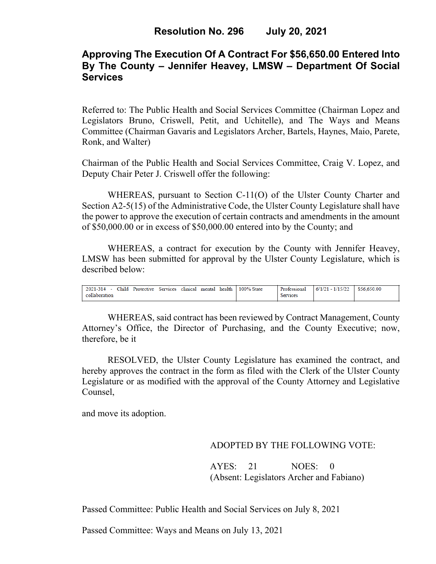# **Approving The Execution Of A Contract For \$56,650.00 Entered Into By The County – Jennifer Heavey, LMSW – Department Of Social Services**

Referred to: The Public Health and Social Services Committee (Chairman Lopez and Legislators Bruno, Criswell, Petit, and Uchitelle), and The Ways and Means Committee (Chairman Gavaris and Legislators Archer, Bartels, Haynes, Maio, Parete, Ronk, and Walter)

Chairman of the Public Health and Social Services Committee, Craig V. Lopez, and Deputy Chair Peter J. Criswell offer the following:

WHEREAS, pursuant to Section C-11(O) of the Ulster County Charter and Section A2-5(15) of the Administrative Code, the Ulster County Legislature shall have the power to approve the execution of certain contracts and amendments in the amount of \$50,000.00 or in excess of \$50,000.00 entered into by the County; and

WHEREAS, a contract for execution by the County with Jennifer Heavey, LMSW has been submitted for approval by the Ulster County Legislature, which is described below:

| Child<br>$2021 - 314$ -<br>Protective | Services<br>clinical | mental | health <b>b</b> | 100% State | Professional    | $6/1/21 - 1/15/22$ | \$56,650.00 |
|---------------------------------------|----------------------|--------|-----------------|------------|-----------------|--------------------|-------------|
| collaboration                         |                      |        |                 |            | <b>Services</b> |                    |             |

WHEREAS, said contract has been reviewed by Contract Management, County Attorney's Office, the Director of Purchasing, and the County Executive; now, therefore, be it

RESOLVED, the Ulster County Legislature has examined the contract, and hereby approves the contract in the form as filed with the Clerk of the Ulster County Legislature or as modified with the approval of the County Attorney and Legislative Counsel,

and move its adoption.

## ADOPTED BY THE FOLLOWING VOTE:

AYES: 21 NOES: 0 (Absent: Legislators Archer and Fabiano)

Passed Committee: Public Health and Social Services on July 8, 2021

Passed Committee: Ways and Means on July 13, 2021